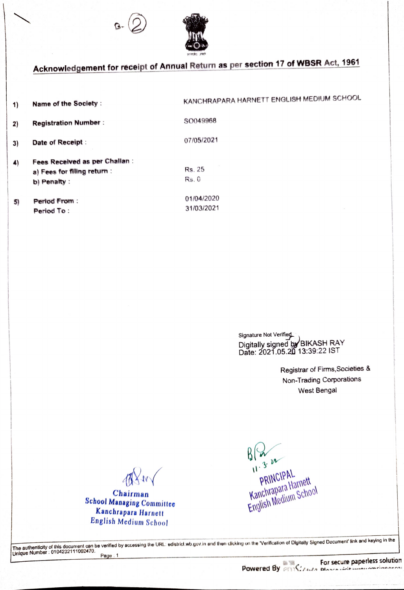



## Acknowledgement for receipt of Annual Return as per section 17 of WBSR Act, 1961

1) Name of the Society : KANCHRAPARA HARNETT ENGLISH MEDIUM SCHOOL 2) Registration Number : SO049968 3) Date of Receipt :  $07/05/2021$ Fees Received as per Chalian: a) Fees for filing return: b) Penalty: 4 Rs. 25 Rs .0 5) Period From: 01/04/2020 Period To: 31/03/2021

> Signature Not Verified Digitally signed by BIKASH RAY Date: 2021.05.20 13:39:22 IST

> > Registrar of Firms, Societies & Non-Trading Corporations West Bengal

AXW

Chairman School Managing Committee Kanchrapara Harnett English Medium School

 $\frac{1}{2}$  $PAPAL$  $P$ Kin $\sim$ uarnett  $u$ <sub>an</sub>chrapain  $c$ chool

The authenticity of this document can be verified by accessing the URL: edistrict.wb.gov.in and then clicking on the 'Verification of Digitally Signed Document' link and keying in the<br>Unique Number : 0104232111002470. Page: 1